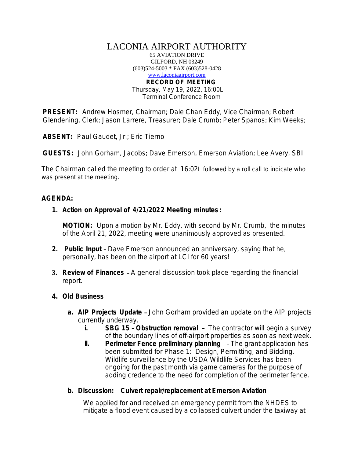# LACONIA AIRPORT AUTHORITY

65 AVIATION DRIVE GILFORD, NH 03249 (603)524-5003 \* FAX (603)528-0428 [www.laconiaairport.com](http://www.laconiaairport.com/) **RECORD OF MEETING** Thursday, May 19, 2022, 16:00L Terminal Conference Room

**PRESENT:** Andrew Hosmer, Chairman; Dale Chan Eddy, Vice Chairman; Robert Glendening, Clerk; Jason Larrere, Treasurer; Dale Crumb; Peter Spanos; Kim Weeks;

**ABSENT:** Paul Gaudet, Jr.; Eric Tierno

**GUESTS:** John Gorham, Jacobs; Dave Emerson, Emerson Aviation; Lee Avery, SBI

The Chairman called the meeting to order at 16:02L followed by a roll call to indicate who was present at the meeting.

# **AGENDA:**

**1. Action on Approval of 4/21/2022 Meeting minutes :** 

**MOTION:** Upon a motion by Mr. Eddy, with second by Mr. Crumb, the minutes of the April 21, 2022, meeting were unanimously approved as presented.

- **2. Public Input** Dave Emerson announced an anniversary, saying that he, personally, has been on the airport at LCI for 60 years!
- **3. Review of Finances** A general discussion took place regarding the financial report.
- **4. Old Business**
	- **a. AIP Projects Update** John Gorham provided an update on the AIP projects currently underway.
		- **i. SBG 15 Obstruction removal** The contractor will begin a survey of the boundary lines of off-airport properties as soon as next week.
		- **ii.** Perimeter Fence preliminary planning The grant application has been submitted for Phase 1: Design, Permitting, and Bidding. Wildlife surveillance by the USDA Wildlife Services has been ongoing for the past month via game cameras for the purpose of adding credence to the need for completion of the perimeter fence.

# **b. Discussion: Culvert repair/replacement at Emerson Aviation**

We applied for and received an emergency permit from the NHDES to mitigate a flood event caused by a collapsed culvert under the taxiway at